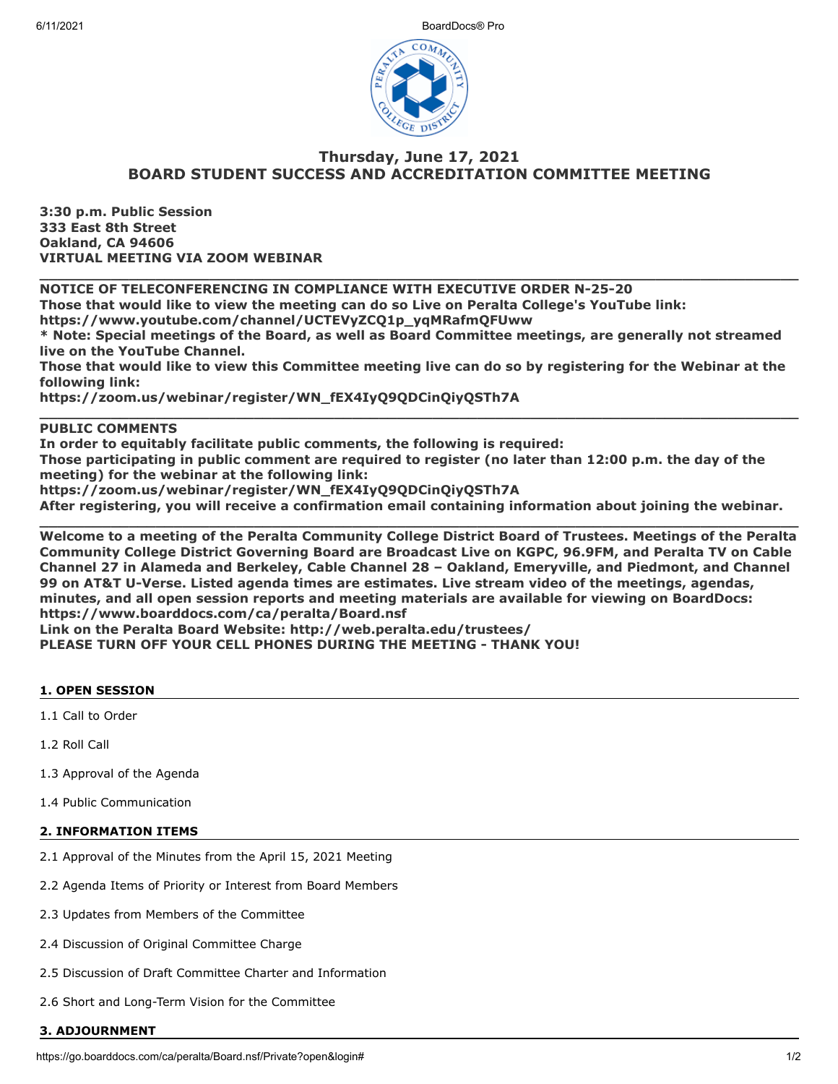

# **Thursday, June 17, 2021 BOARD STUDENT SUCCESS AND ACCREDITATION COMMITTEE MEETING**

**3:30 p.m. Public Session 333 East 8th Street Oakland, CA 94606 VIRTUAL MEETING VIA ZOOM WEBINAR**

**NOTICE OF TELECONFERENCING IN COMPLIANCE WITH EXECUTIVE ORDER N-25-20**

**Those that would like to view the meeting can do so Live on Peralta College's YouTube link:**

**https://www.youtube.com/channel/UCTEVyZCQ1p\_yqMRafmQFUww**

**\* Note: Special meetings of the Board, as well as Board Committee meetings, are generally not streamed live on the YouTube Channel.**

**\_\_\_\_\_\_\_\_\_\_\_\_\_\_\_\_\_\_\_\_\_\_\_\_\_\_\_\_\_\_\_\_\_\_\_\_\_\_\_\_\_\_\_\_\_\_\_\_\_\_\_\_\_\_\_\_\_\_\_\_\_\_\_\_\_\_\_\_\_\_\_\_\_\_\_\_\_\_\_\_\_\_\_\_\_**

**Those that would like to view this Committee meeting live can do so by registering for the Webinar at the following link:**

**\_\_\_\_\_\_\_\_\_\_\_\_\_\_\_\_\_\_\_\_\_\_\_\_\_\_\_\_\_\_\_\_\_\_\_\_\_\_\_\_\_\_\_\_\_\_\_\_\_\_\_\_\_\_\_\_\_\_\_\_\_\_\_\_\_\_\_\_\_\_\_\_\_\_\_\_\_\_\_\_\_\_\_\_\_**

**https://zoom.us/webinar/register/WN\_fEX4IyQ9QDCinQiyQSTh7A**

## **PUBLIC COMMENTS**

**In order to equitably facilitate public comments, the following is required:**

**Those participating in public comment are required to register (no later than 12:00 p.m. the day of the meeting) for the webinar at the following link:**

**https://zoom.us/webinar/register/WN\_fEX4IyQ9QDCinQiyQSTh7A**

**After registering, you will receive a confirmation email containing information about joining the webinar. \_\_\_\_\_\_\_\_\_\_\_\_\_\_\_\_\_\_\_\_\_\_\_\_\_\_\_\_\_\_\_\_\_\_\_\_\_\_\_\_\_\_\_\_\_\_\_\_\_\_\_\_\_\_\_\_\_\_\_\_\_\_\_\_\_\_\_\_\_\_\_\_\_\_\_\_\_\_\_\_\_\_\_\_\_**

**Welcome to a meeting of the Peralta Community College District Board of Trustees. Meetings of the Peralta Community College District Governing Board are Broadcast Live on KGPC, 96.9FM, and Peralta TV on Cable Channel 27 in Alameda and Berkeley, Cable Channel 28 – Oakland, Emeryville, and Piedmont, and Channel 99 on AT&T U-Verse. Listed agenda times are estimates. Live stream video of the meetings, agendas, minutes, and all open session reports and meeting materials are available for viewing on BoardDocs: https://www.boarddocs.com/ca/peralta/Board.nsf Link on the Peralta Board Website: http://web.peralta.edu/trustees/**

**PLEASE TURN OFF YOUR CELL PHONES DURING THE MEETING - THANK YOU!**

### **1. OPEN SESSION**

1.1 Call to Order

1.2 Roll Call

1.3 Approval of the Agenda

1.4 Public Communication

### **2. INFORMATION ITEMS**

- 2.1 Approval of the Minutes from the April 15, 2021 Meeting
- 2.2 Agenda Items of Priority or Interest from Board Members
- 2.3 Updates from Members of the Committee
- 2.4 Discussion of Original Committee Charge
- 2.5 Discussion of Draft Committee Charter and Information
- 2.6 Short and Long-Term Vision for the Committee

#### **3. ADJOURNMENT**